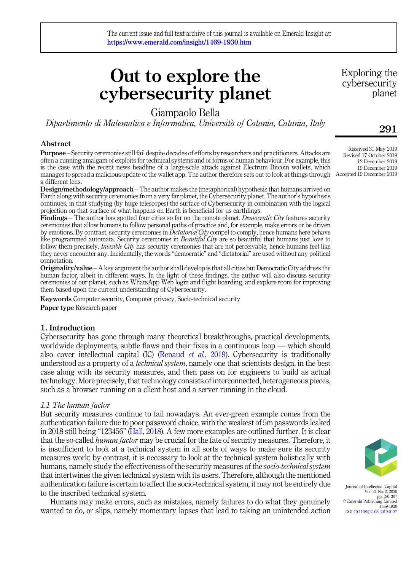# Out to explore the cybersecurity planet

Giampaolo Bella

Dipartimento di Matematica e Informatica, Universita of Catania, Catania, Italy

# Abstract

Purpose – Security ceremonies still fail despite decades of efforts by researchers and practitioners. Attacks are often a cunning amalgam of exploits for technical systems and of forms of human behaviour. For example, this is the case with the recent news headline of a large-scale attack against Electrum Bitcoin wallets, which manages to spread a malicious update of the wallet app. The author therefore sets out to look at things through Accepted 19 December 2019 a different lens.

Design/methodology/approach – The author makes the (metaphorical) hypothesis that humans arrived on Earth along with security ceremonies from a very far planet, the Cybersecurity planet. The author's hypothesis continues, in that studying (by huge telescopes) the surface of Cybersecurity in combination with the logical projection on that surface of what happens on Earth is beneficial for us earthlings.

Findings – The author has spotted four cities so far on the remote planet. *Democratic City* features security ceremonies that allow humans to follow personal paths of practice and, for example, make errors or be driven by emotions. By contrast, security ceremonies in *Dictatorial City* compel to comply, hence humans here behave like programmed automata. Security ceremonies in *Beautiful City* are so beautiful that humans just love to follow them precisely. *Invisible City* has security ceremonies that are not perceivable, hence humans feel like they never encounter any. Incidentally, the words "democratic" and "dictatorial" are used without any political connotation.

Originality/value – A key argument the author shall develop is that all cities but Democratic City address the human factor, albeit in different ways. In the light of these findings, the author will also discuss security ceremonies of our planet, such as WhatsApp Web login and flight boarding, and explore room for improving them based upon the current understanding of Cybersecurity.

Keywords Computer security, Computer privacy, Socio-technical security Paper type Research paper

# 1. Introduction

Cybersecurity has gone through many theoretical breakthroughs, practical developments, worldwide deployments, subtle flaws and their fixes in a continuous loop — which should also cover intellectual capital (IC) ([Renaud](#page-16-0) *et al.*, 2019). Cybersecurity is traditionally understood as a property of a *technical system*, namely one that scientists design, in the best case along with its security measures, and then pass on for engineers to build as actual technology. More precisely, that technology consists of interconnected, heterogeneous pieces, such as a browser running on a client host and a server running in the cloud.

### 1.1 The human factor

But security measures continue to fail nowadays. An ever-green example comes from the authentication failure due to poor password choice, with the weakest of 5m passwords leaked in 2018 still being "123456" ([Hall, 2018](#page-15-0)). A few more examples are outlined further. It is clear that the so-called *human factor* may be crucial for the fate of security measures. Therefore, it is insufficient to look at a technical system in all sorts of ways to make sure its security measures work; by contrast, it is necessary to look at the technical system holistically with humans, namely study the effectiveness of the security measures of the *socio-technical system* that intertwines the given technical system with its users. Therefore, although the mentioned authentication failure is certain to affect the socio-technical system, it may not be entirely due to the inscribed technical system.

Humans may make errors, such as mistakes, namely failures to do what they genuinely wanted to do, or slips, namely momentary lapses that lead to taking an unintended action

Exploring the cybersecurity planet

# 291

Received 31 May 2019 Revised 17 October 2019 12 December 2019 19 December 2019



Journal of Intellectual Capital Vol. 21 No. 2, 2020 pp. 291-307 © Emerald Publishing Limited 1469-1930 DOI [10.1108/JIC-05-2019-0127](https://doi.org/10.1108/JIC-05-2019-0127)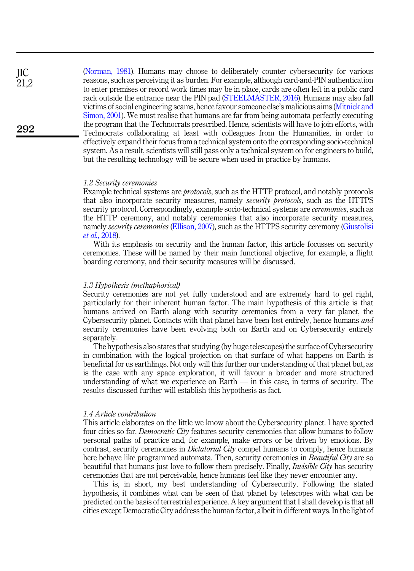([Norman, 1981](#page-16-1)). Humans may choose to deliberately counter cybersecurity for various reasons, such as perceiving it as burden. For example, although card-and-PIN authentication to enter premises or record work times may be in place, cards are often left in a public card rack outside the entrance near the PIN pad [\(STEELMASTER, 2016](#page-16-2)). Humans may also fall victims of social engineering scams, hence favour someone else's malicious aims ([Mitnick and](#page-16-3) [Simon, 2001\)](#page-16-3). We must realise that humans are far from being automata perfectly executing the program that the Technocrats prescribed. Hence, scientists will have to join efforts, with Technocrats collaborating at least with colleagues from the Humanities, in order to effectively expand their focus from a technical system onto the corresponding socio-technical system. As a result, scientists will still pass only a technical system on for engineers to build, but the resulting technology will be secure when used in practice by humans.

#### 1.2 Security ceremonies

Example technical systems are *protocols*, such as the HTTP protocol, and notably protocols that also incorporate security measures, namely security protocols, such as the HTTPS security protocol. Correspondingly, example socio-technical systems are *ceremonies*, such as the HTTP ceremony, and notably ceremonies that also incorporate security measures, namely *security ceremonies* ([Ellison, 2007\)](#page-15-1), such as the HTTPS security ceremony [\(Giustolisi](#page-15-2) et al.[, 2018\)](#page-15-2).

With its emphasis on security and the human factor, this article focusses on security ceremonies. These will be named by their main functional objective, for example, a flight boarding ceremony, and their security measures will be discussed.

#### 1.3 Hypothesis (methaphorical)

Security ceremonies are not yet fully understood and are extremely hard to get right, particularly for their inherent human factor. The main hypothesis of this article is that humans arrived on Earth along with security ceremonies from a very far planet, the Cybersecurity planet. Contacts with that planet have been lost entirely, hence humans and security ceremonies have been evolving both on Earth and on Cybersecurity entirely separately.

The hypothesis also states that studying (by huge telescopes) the surface of Cybersecurity in combination with the logical projection on that surface of what happens on Earth is beneficial for us earthlings. Not only will this further our understanding of that planet but, as is the case with any space exploration, it will favour a broader and more structured understanding of what we experience on Earth — in this case, in terms of security. The results discussed further will establish this hypothesis as fact.

#### 1.4 Article contribution

This article elaborates on the little we know about the Cybersecurity planet. I have spotted four cities so far. *Democratic City* features security ceremonies that allow humans to follow personal paths of practice and, for example, make errors or be driven by emotions. By contrast, security ceremonies in *Dictatorial City* compel humans to comply, hence humans here behave like programmed automata. Then, security ceremonies in *Beautiful City* are so beautiful that humans just love to follow them precisely. Finally, *Invisible City* has security ceremonies that are not perceivable, hence humans feel like they never encounter any.

This is, in short, my best understanding of Cybersecurity. Following the stated hypothesis, it combines what can be seen of that planet by telescopes with what can be predicted on the basis of terrestrial experience. A key argument that I shall develop is that all cities except Democratic City address the human factor, albeit in different ways. In the light of

JIC  $21.2$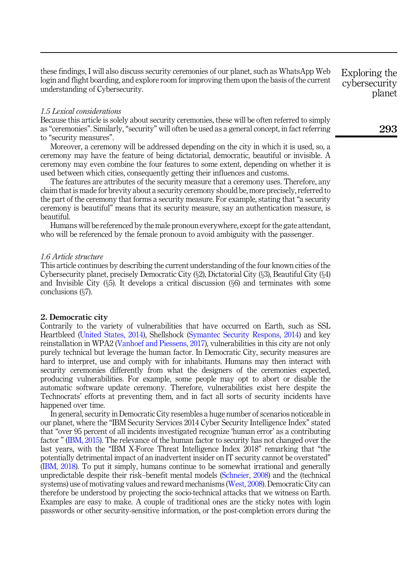these findings, I will also discuss security ceremonies of our planet, such as WhatsApp Web login and flight boarding, and explore room for improving them upon the basis of the current understanding of Cybersecurity.

#### 1.5 Lexical considerations

Because this article is solely about security ceremonies, these will be often referred to simply as "ceremonies". Similarly, "security" will often be used as a general concept, in fact referring to "security measures".

Moreover, a ceremony will be addressed depending on the city in which it is used, so, a ceremony may have the feature of being dictatorial, democratic, beautiful or invisible. A ceremony may even combine the four features to some extent, depending on whether it is used between which cities, consequently getting their influences and customs.

The features are attributes of the security measure that a ceremony uses. Therefore, any claim that is made for brevity about a security ceremony should be, more precisely, referred to the part of the ceremony that forms a security measure. For example, stating that "a security ceremony is beautiful" means that its security measure, say an authentication measure, is beautiful.

Humans will be referenced by the male pronoun everywhere, except for the gate attendant, who will be referenced by the female pronoun to avoid ambiguity with the passenger.

#### 1.6 Article structure

This article continues by describing the current understanding of the four known cities of the Cybersecurity planet, precisely Democratic City  $(\S 2)$ , Dictatorial City  $(\S 3)$ , Beautiful City  $(\S 4)$ and Invisible City  $(\xi_5)$ . It develops a critical discussion  $(\xi_6)$  and terminates with some conclusions (§7).

#### 2. Democratic city

Contrarily to the variety of vulnerabilities that have occurred on Earth, such as SSL Heartbleed [\(United States, 2014\)](#page-16-4), Shellshock [\(Symantec Security Respons, 2014](#page-16-5)) and key reinstallation in WPA2 ([Vanhoef and Piessens, 2017](#page-16-6)), vulnerabilities in this city are not only purely technical but leverage the human factor. In Democratic City, security measures are hard to interpret, use and comply with for inhabitants. Humans may then interact with security ceremonies differently from what the designers of the ceremonies expected, producing vulnerabilities. For example, some people may opt to abort or disable the automatic software update ceremony. Therefore, vulnerabilities exist here despite the Technocrats' efforts at preventing them, and in fact all sorts of security incidents have happened over time.

In general, security in Democratic City resembles a huge number of scenarios noticeable in our planet, where the "IBM Security Services 2014 Cyber Security Intelligence Index" stated that "over 95 percent of all incidents investigated recognize 'human error' as a contributing factor " ([IBM, 2015\)](#page-15-3). The relevance of the human factor to security has not changed over the last years, with the "IBM X-Force Threat Intelligence Index 2018" remarking that "the potentially detrimental impact of an inadvertent insider on IT security cannot be overstated" ([IBM, 2018](#page-16-7)). To put it simply, humans continue to be somewhat irrational and generally unpredictable despite their risk–benefit mental models ([Schneier, 2008\)](#page-16-8) and the (technical systems) use of motivating values and reward mechanisms ([West, 2008\)](#page-16-9). Democratic City can therefore be understood by projecting the socio-technical attacks that we witness on Earth. Examples are easy to make. A couple of traditional ones are the sticky notes with login passwords or other security-sensitive information, or the post-completion errors during the Exploring the cybersecurity planet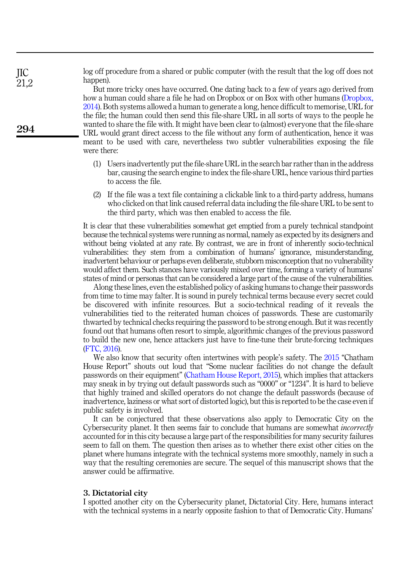log off procedure from a shared or public computer (with the result that the log off does not happen).

But more tricky ones have occurred. One dating back to a few of years ago derived from how a human could share a file he had on Dropbox or on Box with other humans ([Dropbox,](#page-15-4) [2014\)](#page-15-4). Both systems allowed a human to generate a long, hence difficult to memorise, URL for the file; the human could then send this file-share URL in all sorts of ways to the people he wanted to share the file with. It might have been clear to (almost) everyone that the file-share URL would grant direct access to the file without any form of authentication, hence it was meant to be used with care, nevertheless two subtler vulnerabilities exposing the file were there:

- (1) Users inadvertently put the file-share URL in the search bar rather than in the address bar, causing the search engine to index the file-share URL, hence various third parties to access the file.
- (2) If the file was a text file containing a clickable link to a third-party address, humans who clicked on that link caused referral data including the file-share URL to be sent to the third party, which was then enabled to access the file.

It is clear that these vulnerabilities somewhat get emptied from a purely technical standpoint because the technical systems were running as normal, namely as expected by its designers and without being violated at any rate. By contrast, we are in front of inherently socio-technical vulnerabilities: they stem from a combination of humans' ignorance, misunderstanding, inadvertent behaviour or perhaps even deliberate, stubborn misconception that no vulnerability would affect them. Such stances have variously mixed over time, forming a variety of humans' states of mind or personas that can be considered a large part of the cause of the vulnerabilities.

Along these lines, even the established policy of asking humans to change their passwords from time to time may falter. It is sound in purely technical terms because every secret could be discovered with infinite resources. But a socio-technical reading of it reveals the vulnerabilities tied to the reiterated human choices of passwords. These are customarily thwarted by technical checks requiring the password to be strong enough. But it was recently found out that humans often resort to simple, algorithmic changes of the previous password to build the new one, hence attackers just have to fine-tune their brute-forcing techniques ([FTC, 2016\)](#page-15-5).

We also know that security often intertwines with people's safety. The [2015](#page-15-6) "Chatham" House Report" shouts out loud that "Some nuclear facilities do not change the default passwords on their equipment" ([Chatham House Report, 2015\)](#page-15-6), which implies that attackers may sneak in by trying out default passwords such as "0000" or "1234". It is hard to believe that highly trained and skilled operators do not change the default passwords (because of inadvertence, laziness or what sort of distorted logic), but this is reported to be the case even if public safety is involved.

It can be conjectured that these observations also apply to Democratic City on the Cybersecurity planet. It then seems fair to conclude that humans are somewhat incorrectly accounted for in this city because a large part of the responsibilities for many security failures seem to fall on them. The question then arises as to whether there exist other cities on the planet where humans integrate with the technical systems more smoothly, namely in such a way that the resulting ceremonies are secure. The sequel of this manuscript shows that the answer could be affirmative.

#### 3. Dictatorial city

I spotted another city on the Cybersecurity planet, Dictatorial City. Here, humans interact with the technical systems in a nearly opposite fashion to that of Democratic City. Humans'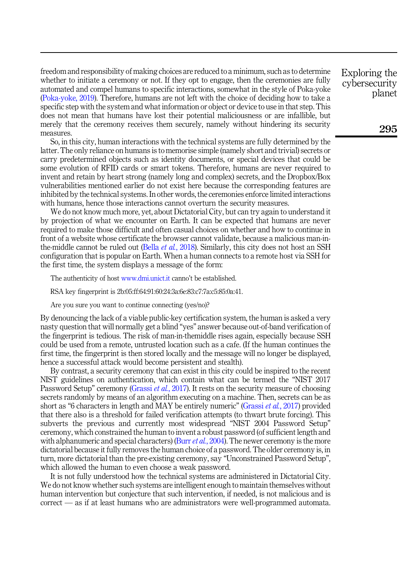freedom and responsibility of making choices are reduced to a minimum, such as to determine whether to initiate a ceremony or not. If they opt to engage, then the ceremonies are fully automated and compel humans to specific interactions, somewhat in the style of Poka-yoke ([Poka-yoke, 2019](#page-16-10)). Therefore, humans are not left with the choice of deciding how to take a specific step with the system and what information or object or device to use in that step. This does not mean that humans have lost their potential maliciousness or are infallible, but merely that the ceremony receives them securely, namely without hindering its security measures.

So, in this city, human interactions with the technical systems are fully determined by the latter. The only reliance on humans is to memorise simple (namely short and trivial) secrets or carry predetermined objects such as identity documents, or special devices that could be some evolution of RFID cards or smart tokens. Therefore, humans are never required to invent and retain by heart strong (namely long and complex) secrets, and the Dropbox/Box vulnerabilities mentioned earlier do not exist here because the corresponding features are inhibited by the technical systems. In other words, the ceremonies enforce limited interactions with humans, hence those interactions cannot overturn the security measures.

We do not know much more, yet, about Dictatorial City, but can try again to understand it by projection of what we encounter on Earth. It can be expected that humans are never required to make those difficult and often casual choices on whether and how to continue in front of a website whose certificate the browser cannot validate, because a malicious man-inthe-middle cannot be ruled out (Bella *et al.*[, 2018](#page-15-7)). Similarly, this city does not host an SSH configuration that is popular on Earth. When a human connects to a remote host via SSH for the first time, the system displays a message of the form:

The authenticity of host [www.dmi.unict.it](http://www.dmi.unict.it) canno't be established.

RSA key fingerprint is 2b:05:ff:64:91:60:24:3a:6e:83:c7:7a:c5:85:0a:41.

Are you sure you want to continue connecting (yes/no)?

By denouncing the lack of a viable public-key certification system, the human is asked a very nasty question that will normally get a blind "yes" answer because out-of-band verification of the fingerprint is tedious. The risk of man-in-themiddle rises again, especially because SSH could be used from a remote, untrusted location such as a cafe. (If the human continues the first time, the fingerprint is then stored locally and the message will no longer be displayed, hence a successful attack would become persistent and stealth).

By contrast, a security ceremony that can exist in this city could be inspired to the recent NIST guidelines on authentication, which contain what can be termed the "NIST 2017 Password Setup" ceremony ([Grassi](#page-15-8) et al., 2017). It rests on the security measure of choosing secrets randomly by means of an algorithm executing on a machine. Then, secrets can be as short as "6 characters in length and MAY be entirely numeric" ([Grassi](#page-15-8) *et al.*, 2017) provided that there also is a threshold for failed verification attempts (to thwart brute forcing). This subverts the previous and currently most widespread "NIST 2004 Password Setup" ceremony, which constrained the human to invent a robust password (of sufficient length and with alphanumeric and special characters) (Burr  $et al.$ [, 2004](#page-15-9)). The newer ceremony is the more dictatorial because it fully removes the human choice of a password. The older ceremony is, in turn, more dictatorial than the pre-existing ceremony, say "Unconstrained Password Setup", which allowed the human to even choose a weak password.

It is not fully understood how the technical systems are administered in Dictatorial City. We do not know whether such systems are intelligent enough to maintain themselves without human intervention but conjecture that such intervention, if needed, is not malicious and is correct — as if at least humans who are administrators were well-programmed automata. Exploring the cybersecurity planet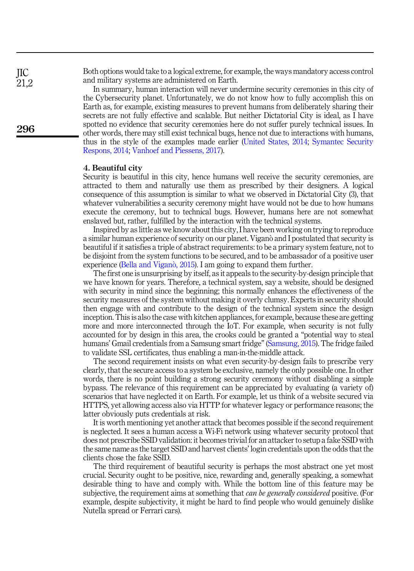Both options would take to a logical extreme, for example, the ways mandatory access control and military systems are administered on Earth.

In summary, human interaction will never undermine security ceremonies in this city of the Cybersecurity planet. Unfortunately, we do not know how to fully accomplish this on Earth as, for example, existing measures to prevent humans from deliberately sharing their secrets are not fully effective and scalable. But neither Dictatorial City is ideal, as I have spotted no evidence that security ceremonies here do not suffer purely technical issues. In other words, there may still exist technical bugs, hence not due to interactions with humans, thus in the style of the examples made earlier [\(United States, 2014;](#page-16-4) [Symantec Security](#page-16-5) [Respons, 2014](#page-16-5); [Vanhoef and Piessens, 2017](#page-16-6)).

#### 4. Beautiful city

Security is beautiful in this city, hence humans well receive the security ceremonies, are attracted to them and naturally use them as prescribed by their designers. A logical consequence of this assumption is similar to what we observed in Dictatorial City (3), that whatever vulnerabilities a security ceremony might have would not be due to how humans execute the ceremony, but to technical bugs. However, humans here are not somewhat enslaved but, rather, fulfilled by the interaction with the technical systems.

Inspired by as little as we know about this city, I have been working on trying to reproduce a similar human experience of security on our planet. Viganò and I postulated that security is beautiful if it satisfies a triple of abstract requirements: to be a primary system feature, not to be disjoint from the system functions to be secured, and to be ambassador of a positive user experience [\(Bella and Vigan](#page-15-10)ò[, 2015](#page-15-10)). I am going to expand them further.

The first one is unsurprising by itself, as it appeals to the security-by-design principle that we have known for years. Therefore, a technical system, say a website, should be designed with security in mind since the beginning; this normally enhances the effectiveness of the security measures of the system without making it overly clumsy. Experts in security should then engage with and contribute to the design of the technical system since the design inception. This is also the case with kitchen appliances, for example, because these are getting more and more interconnected through the IoT. For example, when security is not fully accounted for by design in this area, the crooks could be granted a "potential way to steal humans' Gmail credentials from a Samsung smart fridge" [\(Samsung, 2015](#page-16-11)). The fridge failed to validate SSL certificates, thus enabling a man-in-the-middle attack.

The second requirement insists on what even security-by-design fails to prescribe very clearly, that the secure access to a system be exclusive, namely the only possible one. In other words, there is no point building a strong security ceremony without disabling a simple bypass. The relevance of this requirement can be appreciated by evaluating (a variety of) scenarios that have neglected it on Earth. For example, let us think of a website secured via HTTPS, yet allowing access also via HTTP for whatever legacy or performance reasons; the latter obviously puts credentials at risk.

It is worth mentioning yet another attack that becomes possible if the second requirement is neglected. It sees a human access a Wi-Fi network using whatever security protocol that does not prescribe SSID validation: it becomes trivial for an attacker to setup a fake SSID with the same name as the target SSID and harvest clients' login credentials upon the odds that the clients chose the fake SSID.

The third requirement of beautiful security is perhaps the most abstract one yet most crucial. Security ought to be positive, nice, rewarding and, generally speaking, a somewhat desirable thing to have and comply with. While the bottom line of this feature may be subjective, the requirement aims at something that *can be generally considered* positive. (For example, despite subjectivity, it might be hard to find people who would genuinely dislike Nutella spread or Ferrari cars).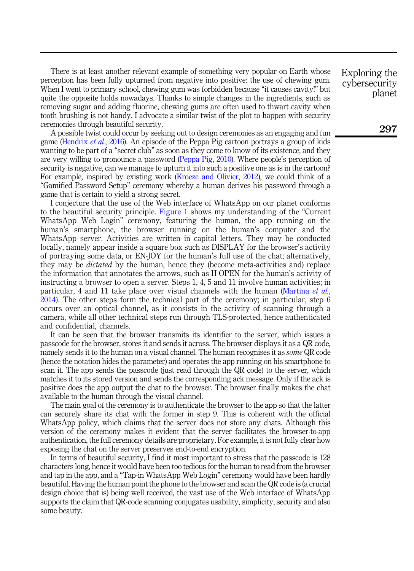There is at least another relevant example of something very popular on Earth whose perception has been fully upturned from negative into positive: the use of chewing gum. When I went to primary school, chewing gum was forbidden because "it causes cavity!" but quite the opposite holds nowadays. Thanks to simple changes in the ingredients, such as removing sugar and adding fluorine, chewing gums are often used to thwart cavity when tooth brushing is not handy. I advocate a similar twist of the plot to happen with security ceremonies through beautiful security.

A possible twist could occur by seeking out to design ceremonies as an engaging and fun game [\(Hendrix](#page-15-11) et al., 2016). An episode of the Peppa Pig cartoon portrays a group of kids wanting to be part of a "secret club" as soon as they come to know of its existence, and they are very willing to pronounce a password [\(Peppa Pig, 2010\)](#page-16-12). Where people's perception of security is negative, can we manage to upturn it into such a positive one as is in the cartoon? For example, inspired by existing work ([Kroeze and Olivier, 2012\)](#page-16-13), we could think of a "Gamified Password Setup" ceremony whereby a human derives his password through a game that is certain to yield a strong secret.

I conjecture that the use of the Web interface of WhatsApp on our planet conforms to the beautiful security principle. [Figure 1](#page-7-0) shows my understanding of the "Current WhatsApp Web Login" ceremony, featuring the human, the app running on the human's smartphone, the browser running on the human's computer and the WhatsApp server. Activities are written in capital letters. They may be conducted locally, namely appear inside a square box such as DISPLAY for the browser's activity of portraying some data, or EN-JOY for the human's full use of the chat; alternatively, they may be *dictated* by the human, hence they (become meta-activities and) replace the information that annotates the arrows, such as H OPEN for the human's activity of instructing a browser to open a server. Steps 1, 4, 5 and 11 involve human activities; in particular, 4 and 11 take place over visual channels with the human [\(Martina](#page-16-14) et al., [2014\)](#page-16-14). The other steps form the technical part of the ceremony; in particular, step 6 occurs over an optical channel, as it consists in the activity of scanning through a camera, while all other technical steps run through TLS-protected, hence authenticated and confidential, channels.

It can be seen that the browser transmits its identifier to the server, which issues a passcode for the browser, stores it and sends it across. The browser displays it as a QR code, namely sends it to the human on a visual channel. The human recognises it as *some* QR code (hence the notation hides the parameter) and operates the app running on his smartphone to scan it. The app sends the passcode (just read through the QR code) to the server, which matches it to its stored version and sends the corresponding ack message. Only if the ack is positive does the app output the chat to the browser. The browser finally makes the chat available to the human through the visual channel.

The main goal of the ceremony is to authenticate the browser to the app so that the latter can securely share its chat with the former in step 9. This is coherent with the official WhatsApp policy, which claims that the server does not store any chats. Although this version of the ceremony makes it evident that the server facilitates the browser-to-app authentication, the full ceremony details are proprietary. For example, it is not fully clear how exposing the chat on the server preserves end-to-end encryption.

In terms of beautiful security, I find it most important to stress that the passcode is 128 characters long, hence it would have been too tedious for the human to read from the browser and tap in the app, and a "Tap-in WhatsApp Web Login" ceremony would have been hardly beautiful. Having the human point the phone to the browser and scan the QR code is (a crucial design choice that is) being well received, the vast use of the Web interface of WhatsApp supports the claim that QR-code scanning conjugates usability, simplicity, security and also some beauty.

Exploring the cybersecurity planet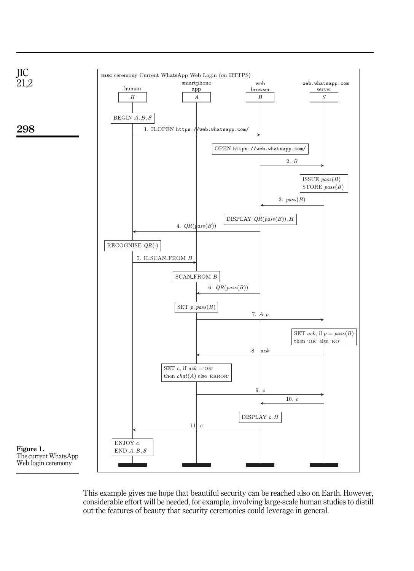<span id="page-7-0"></span>

This example gives me hope that beautiful security can be reached also on Earth. However, considerable effort will be needed, for example, involving large-scale human studies to distill out the features of beauty that security ceremonies could leverage in general.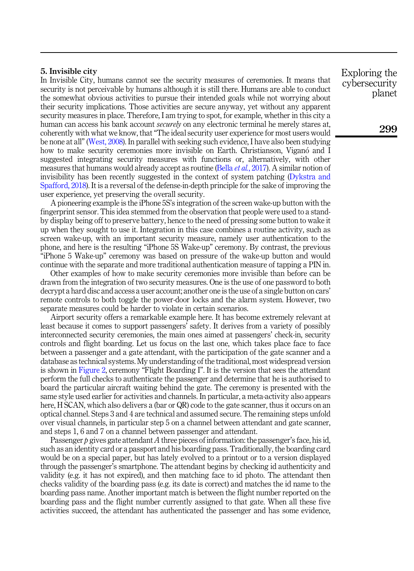# 5. Invisible city

In Invisible City, humans cannot see the security measures of ceremonies. It means that security is not perceivable by humans although it is still there. Humans are able to conduct the somewhat obvious activities to pursue their intended goals while not worrying about their security implications. Those activities are secure anyway, yet without any apparent security measures in place. Therefore, I am trying to spot, for example, whether in this city a human can access his bank account *securely* on any electronic terminal he merely stares at, coherently with what we know, that"The ideal security user experience for most users would be none at all" [\(West, 2008](#page-16-9)). In parallel with seeking such evidence, I have also been studying how to make security ceremonies more invisible on Earth. Christianson, Viganó and I suggested integrating security measures with functions or, alternatively, with other measures that humans would already accept as routine (Bella *et al.*[, 2017\)](#page-15-12). A similar notion of invisibility has been recently suggested in the context of system patching [\(Dykstra and](#page-15-13) [Spafford, 2018\)](#page-15-13). It is a reversal of the defense-in-depth principle for the sake of improving the user experience, yet preserving the overall security.

A pioneering example is the iPhone 5S's integration of the screen wake-up button with the fingerprint sensor. This idea stemmed from the observation that people were used to a standby display being off to preserve battery, hence to the need of pressing some button to wake it up when they sought to use it. Integration in this case combines a routine activity, such as screen wake-up, with an important security measure, namely user authentication to the phone, and here is the resulting "iPhone 5S Wake-up" ceremony. By contrast, the previous "iPhone 5 Wake-up" ceremony was based on pressure of the wake-up button and would continue with the separate and more traditional authentication measure of tapping a PIN in.

Other examples of how to make security ceremonies more invisible than before can be drawn from the integration of two security measures. One is the use of one password to both decrypt a hard disc and access a user account; another one is the use of a single button on cars' remote controls to both toggle the power-door locks and the alarm system. However, two separate measures could be harder to violate in certain scenarios.

Airport security offers a remarkable example here. It has become extremely relevant at least because it comes to support passengers' safety. It derives from a variety of possibly interconnected security ceremonies, the main ones aimed at passengers' check-in, security controls and flight boarding. Let us focus on the last one, which takes place face to face between a passenger and a gate attendant, with the participation of the gate scanner and a database as technical systems. My understanding of the traditional, most widespread version is shown in [Figure 2,](#page-9-0) ceremony "Flight Boarding I". It is the version that sees the attendant perform the full checks to authenticate the passenger and determine that he is authorised to board the particular aircraft waiting behind the gate. The ceremony is presented with the same style used earlier for activities and channels. In particular, a meta-activity also appears here, H SCAN, which also delivers a (bar or QR) code to the gate scanner, thus it occurs on an optical channel. Steps 3 and 4 are technical and assumed secure. The remaining steps unfold over visual channels, in particular step 5 on a channel between attendant and gate scanner, and steps 1, 6 and 7 on a channel between passenger and attendant.

Passenger p gives gate attendant A three pieces of information: the passenger's face, his id, such as an identity card or a passport and his boarding pass. Traditionally, the boarding card would be on a special paper, but has lately evolved to a printout or to a version displayed through the passenger's smartphone. The attendant begins by checking id authenticity and validity (e.g. it has not expired), and then matching face to id photo. The attendant then checks validity of the boarding pass (e.g. its date is correct) and matches the id name to the boarding pass name. Another important match is between the flight number reported on the boarding pass and the flight number currently assigned to that gate. When all these five activities succeed, the attendant has authenticated the passenger and has some evidence,

Exploring the cybersecurity planet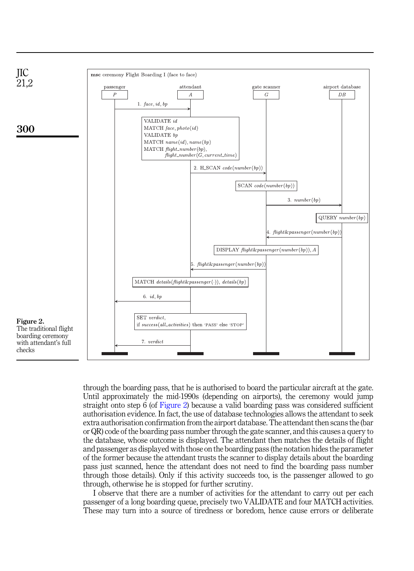<span id="page-9-0"></span>

through the boarding pass, that he is authorised to board the particular aircraft at the gate. Until approximately the mid-1990s (depending on airports), the ceremony would jump straight onto step 6 (of Figure 2) because a valid boarding pass was considered sufficient authorisation evidence. In fact, the use of database technologies allows the attendant to seek extra authorisation confirmation from the airport database. The attendant then scans the (bar or QR) code of the boarding pass number through the gate scanner, and this causes a query to the database, whose outcome is displayed. The attendant then matches the details of flight and passenger as displayed with those on the boarding pass (the notation hides the parameter of the former because the attendant trusts the scanner to display details about the boarding pass just scanned, hence the attendant does not need to find the boarding pass number through those details). Only if this activity succeeds too, is the passenger allowed to go through, otherwise he is stopped for further scrutiny.

I observe that there are a number of activities for the attendant to carry out per each passenger of a long boarding queue, precisely two VALIDATE and four MATCH activities. These may turn into a source of tiredness or boredom, hence cause errors or deliberate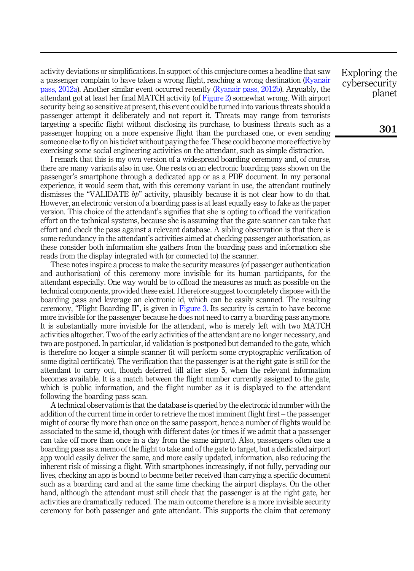activity deviations or simplifications. In support of this conjecture comes a headline that saw a passenger complain to have taken a wrong flight, reaching a wrong destination ([Ryanair](#page-16-15) [pass, 2012a](#page-16-15)). Another similar event occurred recently [\(Ryanair pass, 2012b](#page-16-16)). Arguably, the attendant got at least her final MATCH activity (of [Figure 2](#page-9-0)) somewhat wrong. With airport security being so sensitive at present, this event could be turned into various threats should a passenger attempt it deliberately and not report it. Threats may range from terrorists targeting a specific flight without disclosing its purchase, to business threats such as a passenger hopping on a more expensive flight than the purchased one, or even sending someone else to fly on his ticket without paying the fee. These could become more effective by exercising some social engineering activities on the attendant, such as simple distraction.

I remark that this is my own version of a widespread boarding ceremony and, of course, there are many variants also in use. One rests on an electronic boarding pass shown on the passenger's smartphone through a dedicated app or as a PDF document. In my personal experience, it would seem that, with this ceremony variant in use, the attendant routinely dismisses the "VALIDATE  $bp$ " activity, plausibly because it is not clear how to do that. However, an electronic version of a boarding pass is at least equally easy to fake as the paper version. This choice of the attendant's signifies that she is opting to offload the verification effort on the technical systems, because she is assuming that the gate scanner can take that effort and check the pass against a relevant database. A sibling observation is that there is some redundancy in the attendant's activities aimed at checking passenger authorisation, as these consider both information she gathers from the boarding pass and information she reads from the display integrated with (or connected to) the scanner.

These notes inspire a process to make the security measures (of passenger authentication and authorisation) of this ceremony more invisible for its human participants, for the attendant especially. One way would be to offload the measures as much as possible on the technical components, provided these exist. I therefore suggest to completely dispose with the boarding pass and leverage an electronic id, which can be easily scanned. The resulting ceremony, "Flight Boarding II", is given in [Figure 3](#page-11-0). Its security is certain to have become more invisible for the passenger because he does not need to carry a boarding pass anymore. It is substantially more invisible for the attendant, who is merely left with two MATCH activities altogether. Two of the early activities of the attendant are no longer necessary, and two are postponed. In particular, id validation is postponed but demanded to the gate, which is therefore no longer a simple scanner (it will perform some cryptographic verification of some digital certificate). The verification that the passenger is at the right gate is still for the attendant to carry out, though deferred till after step 5, when the relevant information becomes available. It is a match between the flight number currently assigned to the gate, which is public information, and the flight number as it is displayed to the attendant following the boarding pass scan.

A technical observation is that the database is queried by the electronic id number with the addition of the current time in order to retrieve the most imminent flight first – the passenger might of course fly more than once on the same passport, hence a number of flights would be associated to the same id, though with different dates (or times if we admit that a passenger can take off more than once in a day from the same airport). Also, passengers often use a boarding pass as a memo of the flight to take and of the gate to target, but a dedicated airport app would easily deliver the same, and more easily updated, information, also reducing the inherent risk of missing a flight. With smartphones increasingly, if not fully, pervading our lives, checking an app is bound to become better received than carrying a specific document such as a boarding card and at the same time checking the airport displays. On the other hand, although the attendant must still check that the passenger is at the right gate, her activities are dramatically reduced. The main outcome therefore is a more invisible security ceremony for both passenger and gate attendant. This supports the claim that ceremony

Exploring the cybersecurity planet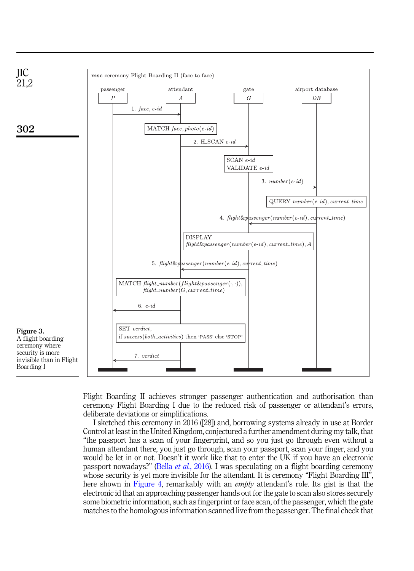<span id="page-11-0"></span>

Flight Boarding II achieves stronger passenger authentication and authorisation than ceremony Flight Boarding I due to the reduced risk of passenger or attendant's errors, deliberate deviations or simplifications.

I sketched this ceremony in 2016 ([28]) and, borrowing systems already in use at Border Control at least in the United Kingdom, conjectured a further amendment during my talk, that "the passport has a scan of your fingerprint, and so you just go through even without a human attendant there, you just go through, scan your passport, scan your finger, and you would be let in or not. Doesn't it work like that to enter the UK if you have an electronic passport nowadays?" (Bella et al.[, 2016](#page-15-12)). I was speculating on a flight boarding ceremony whose security is yet more invisible for the attendant. It is ceremony "Flight Boarding III", here shown in [Figure 4,](#page-12-0) remarkably with an *empty* attendant's role. Its gist is that the electronic id that an approaching passenger hands out for the gate to scan also stores securely some biometric information, such as fingerprint or face scan, of the passenger, which the gate matches to the homologous information scanned live from the passenger. The final check that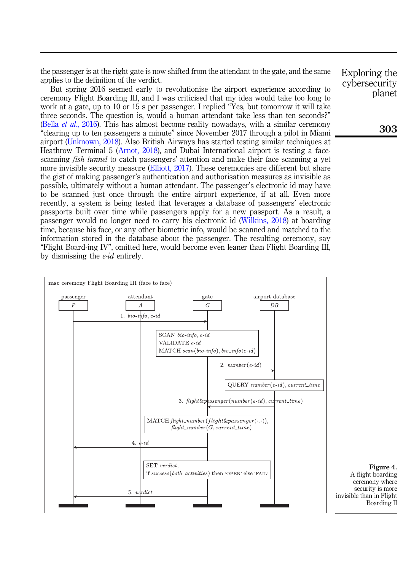<span id="page-12-0"></span>the passenger is at the right gate is now shifted from the attendant to the gate, and the same applies to the definition of the verdict.

But spring 2016 seemed early to revolutionise the airport experience according to ceremony Flight Boarding III, and I was criticised that my idea would take too long to work at a gate, up to 10 or 15 s per passenger. I replied "Yes, but tomorrow it will take three seconds. The question is, would a human attendant take less than ten seconds?" (Bella *et al.*[, 2016\)](#page-15-12). This has almost become reality nowadays, with a similar ceremony "clearing up to ten passengers a minute" since November 2017 through a pilot in Miami airport [\(Unknown, 2018](#page-16-17)). Also British Airways has started testing similar techniques at Heathrow Terminal 5 ([Arnot, 2018\)](#page-15-14), and Dubai International airport is testing a facescanning *fish tunnel* to catch passengers' attention and make their face scanning a yet more invisible security measure ([Elliott, 2017\)](#page-15-15). These ceremonies are different but share the gist of making passenger's authentication and authorisation measures as invisible as possible, ultimately without a human attendant. The passenger's electronic id may have to be scanned just once through the entire airport experience, if at all. Even more recently, a system is being tested that leverages a database of passengers' electronic passports built over time while passengers apply for a new passport. As a result, a passenger would no longer need to carry his electronic id [\(Wilkins, 2018\)](#page-16-18) at boarding time, because his face, or any other biometric info, would be scanned and matched to the information stored in the database about the passenger. The resulting ceremony, say "Flight Board-ing IV", omitted here, would become even leaner than Flight Boarding III, by dismissing the e-id entirely.



Exploring the cybersecurity planet

Figure 4. A flight boarding ceremony where security is more invisible than in Flight Boarding II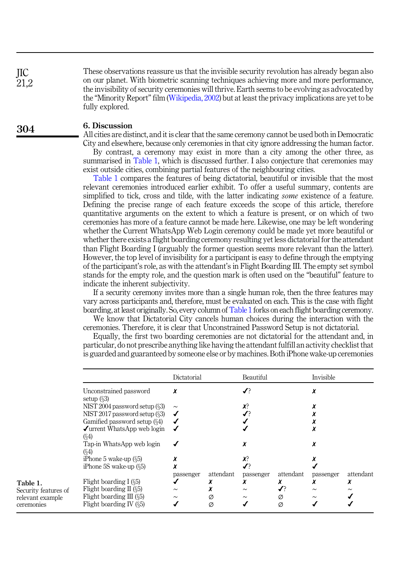These observations reassure us that the invisible security revolution has already began also on our planet. With biometric scanning techniques achieving more and more performance, the invisibility of security ceremonies will thrive. Earth seems to be evolving as advocated by the "Minority Report"film ([Wikipedia, 2002](#page-16-19)) but at least the privacy implications are yet to be fully explored.

#### 6. Discussion

All cities are distinct, and it is clear that the same ceremony cannot be used both in Democratic

City and elsewhere, because only ceremonies in that city ignore addressing the human factor. By contrast, a ceremony may exist in more than a city among the other three, as summarised in Table 1, which is discussed further. I also conjecture that ceremonies may exist outside cities, combining partial features of the neighbouring cities.

Table 1 compares the features of being dictatorial, beautiful or invisible that the most relevant ceremonies introduced earlier exhibit. To offer a useful summary, contents are simplified to tick, cross and tilde, with the latter indicating *some* existence of a feature. Defining the precise range of each feature exceeds the scope of this article, therefore quantitative arguments on the extent to which a feature is present, or on which of two ceremonies has more of a feature cannot be made here. Likewise, one may be left wondering whether the Current WhatsApp Web Login ceremony could be made yet more beautiful or whether there exists a flight boarding ceremony resulting yet less dictatorial for the attendant than Flight Boarding I (arguably the former question seems more relevant than the latter). However, the top level of invisibility for a participant is easy to define through the emptying of the participant's role, as with the attendant's in Flight Boarding III. The empty set symbol stands for the empty role, and the question mark is often used on the "beautiful" feature to indicate the inherent subjectivity.

If a security ceremony invites more than a single human role, then the three features may vary across participants and, therefore, must be evaluated on each. This is the case with flight boarding, at least originally. So, every column of Table 1 forks on each flight boarding ceremony.

We know that Dictatorial City cancels human choices during the interaction with the ceremonies. Therefore, it is clear that Unconstrained Password Setup is not dictatorial.

Equally, the first two boarding ceremonies are not dictatorial for the attendant and, in particular, do not prescribe anything like having the attendant fulfill an activity checklist that is guarded and guaranteed by someone else or by machines. Both iPhone wake-up ceremonies

|                                                        | Dictatorial |           | Beautiful |           | Invisible |           |
|--------------------------------------------------------|-------------|-----------|-----------|-----------|-----------|-----------|
| Unconstrained password<br>setup $(\S3)$                | x           |           |           |           | χ         |           |
| NIST 2004 password setup (§3)                          | $\sim$      |           | X?        |           |           |           |
| NIST 2017 password setup $(\S3)$                       | ✔           |           |           |           |           |           |
| Gamified password setup (§4)                           |             |           |           |           |           |           |
| $\sqrt{\frac{1}{2}}$ urrent WhatsApp web login<br>(§4) |             |           |           |           |           |           |
| Tap-in WhatsApp web login<br>(§4)                      |             |           |           |           | χ         |           |
| iPhone 5 wake-up $(\S5)$                               |             |           | Х?        |           |           |           |
| iPhone 5S wake-up $(\S5)$                              |             |           |           |           |           |           |
|                                                        | passenger   | attendant | passenger | attendant | passenger | attendant |
| Flight boarding I $(\S5)$                              |             |           | x         |           | x         | x         |
| Flight boarding $II($ §5)                              | $\sim$      |           | $\sim$    | ✔         | $\sim$    | $\sim$    |
| Flight boarding $III$ ( $\S5$ )                        | $\sim$      | Ø         | $\sim$    | Ø         | $\sim$    |           |
| Flight boarding IV $(5)$                               |             | Ø         |           | Ø         |           |           |

JIC  $21.2$ 

304

Table 1. Security features of relevant example ceremonies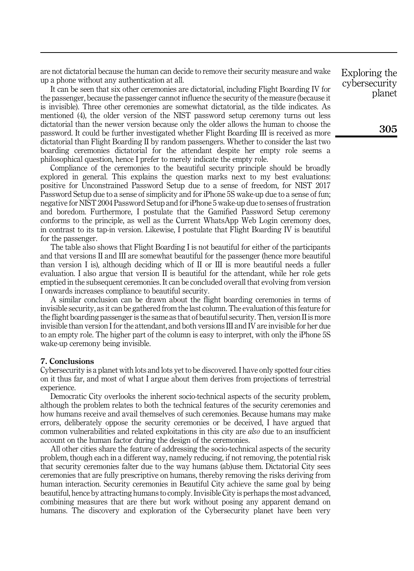are not dictatorial because the human can decide to remove their security measure and wake up a phone without any authentication at all.

It can be seen that six other ceremonies are dictatorial, including Flight Boarding IV for the passenger, because the passenger cannot influence the security of the measure (because it is invisible). Three other ceremonies are somewhat dictatorial, as the tilde indicates. As mentioned (4), the older version of the NIST password setup ceremony turns out less dictatorial than the newer version because only the older allows the human to choose the password. It could be further investigated whether Flight Boarding III is received as more dictatorial than Flight Boarding II by random passengers. Whether to consider the last two boarding ceremonies dictatorial for the attendant despite her empty role seems a philosophical question, hence I prefer to merely indicate the empty role.

Compliance of the ceremonies to the beautiful security principle should be broadly explored in general. This explains the question marks next to my best evaluations: positive for Unconstrained Password Setup due to a sense of freedom, for NIST 2017 Password Setup due to a sense of simplicity and for iPhone 5S wake-up due to a sense of fun; negative for NIST 2004 Password Setup and for iPhone 5 wake-up due to senses of frustration and boredom. Furthermore, I postulate that the Gamified Password Setup ceremony conforms to the principle, as well as the Current WhatsApp Web Login ceremony does, in contrast to its tap-in version. Likewise, I postulate that Flight Boarding IV is beautiful for the passenger.

The table also shows that Flight Boarding I is not beautiful for either of the participants and that versions II and III are somewhat beautiful for the passenger (hence more beautiful than version I is), although deciding which of II or III is more beautiful needs a fuller evaluation. I also argue that version II is beautiful for the attendant, while her role gets emptied in the subsequent ceremonies. It can be concluded overall that evolving from version I onwards increases compliance to beautiful security.

A similar conclusion can be drawn about the flight boarding ceremonies in terms of invisible security, as it can be gathered from the last column. The evaluation of this feature for the flight boarding passenger is the same as that of beautiful security. Then, version II is more invisible than version I for the attendant, and both versions III and IV are invisible for her due to an empty role. The higher part of the column is easy to interpret, with only the iPhone 5S wake-up ceremony being invisible.

#### 7. Conclusions

Cybersecurity is a planet with lots and lots yet to be discovered. I have only spotted four cities on it thus far, and most of what I argue about them derives from projections of terrestrial experience.

Democratic City overlooks the inherent socio-technical aspects of the security problem, although the problem relates to both the technical features of the security ceremonies and how humans receive and avail themselves of such ceremonies. Because humans may make errors, deliberately oppose the security ceremonies or be deceived, I have argued that common vulnerabilities and related exploitations in this city are *also* due to an insufficient account on the human factor during the design of the ceremonies.

All other cities share the feature of addressing the socio-technical aspects of the security problem, though each in a different way, namely reducing, if not removing, the potential risk that security ceremonies falter due to the way humans (ab)use them. Dictatorial City sees ceremonies that are fully prescriptive on humans, thereby removing the risks deriving from human interaction. Security ceremonies in Beautiful City achieve the same goal by being beautiful, hence by attracting humans to comply. Invisible City is perhaps the most advanced, combining measures that are there but work without posing any apparent demand on humans. The discovery and exploration of the Cybersecurity planet have been very

Exploring the cybersecurity planet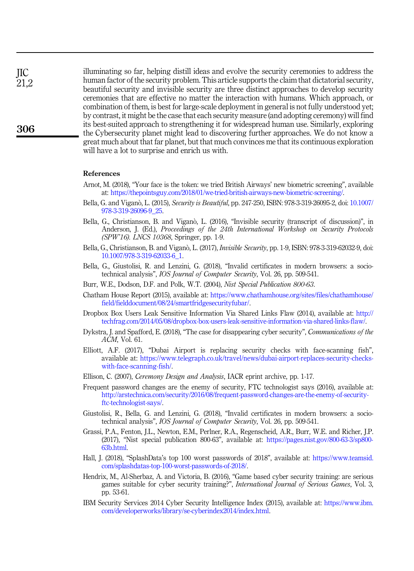illuminating so far, helping distill ideas and evolve the security ceremonies to address the human factor of the security problem. This article supports the claim that dictatorial security, beautiful security and invisible security are three distinct approaches to develop security ceremonies that are effective no matter the interaction with humans. Which approach, or combination of them, is best for large-scale deployment in general is not fully understood yet; by contrast, it might be the case that each security measure (and adopting ceremony) will find its best-suited approach to strengthening it for widespread human use. Similarly, exploring the Cybersecurity planet might lead to discovering further approaches. We do not know a great much about that far planet, but that much convinces me that its continuous exploration will have a lot to surprise and enrich us with.

#### <span id="page-15-14"></span>References

- Arnot, M. (2018), "Your face is the token: we tried British Airways' new biometric screening", available at: [https://thepointsguy.com/2018/01/we-tried-british-airways-new-biometric-screening/.](https://thepointsguy.com/2018/01/we-tried-british-airways-new-biometric-screening/)
- <span id="page-15-10"></span>Bella, G. and Viganò, L. (2015), Security is Beautiful, pp. 247-250, ISBN: 978-3-319-26095-2, doi: [10.1007/](https://doi.org/10.1007/978-3-319-26096-9_25) [978-3-319-26096-9\\_25](https://doi.org/10.1007/978-3-319-26096-9_25).
- Bella, G., Christianson, B. and Vigano, L. (2016), "Invisible security (transcript of discussion)", in Anderson, J. (Ed.), Proceedings of the 24th International Workshop on Security Protocols (SPW'16). LNCS 10368, Springer, pp. 1-9.
- <span id="page-15-12"></span>Bella, G., Christianson, B. and Viganò, L. (2017), *Invisible Security*, pp. 1-9, ISBN: 978-3-319-62032-9, doi: [10.1007/978-3-319-62033-6\\_1](https://doi.org/10.1007/978-3-319-62033-6_1).
- <span id="page-15-7"></span>Bella, G., Giustolisi, R. and Lenzini, G. (2018), "Invalid certificates in modern browsers: a sociotechnical analysis", *IOS Journal of Computer Security*, Vol. 26, pp. 509-541.
- <span id="page-15-9"></span><span id="page-15-6"></span>Burr, W.E., Dodson, D.F. and Polk, W.T. (2004), Nist Special Publication 800-63.
- Chatham House Report (2015), available at: [https://www.chathamhouse.org/sites/files/chathamhouse/](https://www.chathamhouse.org/sites/files/chathamhouse/field/fielddocument/08/24/smartfridgesecurityfubar/) [field/fielddocument/08/24/smartfridgesecurityfubar/](https://www.chathamhouse.org/sites/files/chathamhouse/field/fielddocument/08/24/smartfridgesecurityfubar/).
- <span id="page-15-4"></span>Dropbox Box Users Leak Sensitive Information Via Shared Links Flaw (2014), available at: [http://](http://techfrag.com/2014/05/08/dropbox-box-users-leak-sensitive-information-via-shared-links-flaw/) [techfrag.com/2014/05/08/dropbox-box-users-leak-sensitive-information-via-shared-links-flaw/](http://techfrag.com/2014/05/08/dropbox-box-users-leak-sensitive-information-via-shared-links-flaw/).
- <span id="page-15-13"></span>Dykstra, J. and Spafford, E. (2018), "The case for disappearing cyber security", Communications of the ACM, Vol. 61.
- <span id="page-15-15"></span>Elliott, A.F. (2017), "Dubai Airport is replacing security checks with face-scanning fish", available at: [https://www.telegraph.co.uk/travel/news/dubai-airport-replaces-security-checks](https://www.telegraph.co.uk/travel/news/dubai-airport-replaces-security-checks-with-face-scanning-fish/.)[with-face-scanning-fish/](https://www.telegraph.co.uk/travel/news/dubai-airport-replaces-security-checks-with-face-scanning-fish/.).
- <span id="page-15-5"></span><span id="page-15-1"></span>Ellison, C. (2007), Ceremony Design and Analysis, IACR eprint archive, pp. 1-17.
- Frequent password changes are the enemy of security, FTC technologist says (2016), available at: [http://arstechnica.com/security/2016/08/frequent-password-changes-are-the-enemy-of-security](http://arstechnica.com/security/2016/08/frequent-password-changes-are-the-enemy-of-security-ftc-technologist-says/)[ftc-technologist-says/](http://arstechnica.com/security/2016/08/frequent-password-changes-are-the-enemy-of-security-ftc-technologist-says/).
- <span id="page-15-2"></span>Giustolisi, R., Bella, G. and Lenzini, G. (2018), "Invalid certificates in modern browsers: a sociotechnical analysis", IOS Journal of Computer Security, Vol. 26, pp. 509-541.
- <span id="page-15-8"></span>Grassi, P.A., Fenton, J.L., Newton, E.M., Perlner, R.A., Regenscheid, A.R., Burr, W.E. and Richer, J.P. (2017), "Nist special publication 800-63", available at: [https://pages.nist.gov/800-63-3/sp800-](https://pages.nist.gov/800-63-3/sp800-63b.html) [63b.html.](https://pages.nist.gov/800-63-3/sp800-63b.html)
- <span id="page-15-0"></span>Hall, J. (2018), "SplashData's top 100 worst passwords of 2018", available at: [https://www.teamsid.](https://www.teamsid.com/splashdatas-top-100-worst-passwords-of-2018/) [com/splashdatas-top-100-worst-passwords-of-2018/](https://www.teamsid.com/splashdatas-top-100-worst-passwords-of-2018/).
- <span id="page-15-11"></span>Hendrix, M., Al-Sherbaz, A. and Victoria, B. (2016), "Game based cyber security training: are serious games suitable for cyber security training?", International Journal of Serious Games, Vol. 3, pp. 53-61.
- <span id="page-15-3"></span>IBM Security Services 2014 Cyber Security Intelligence Index (2015), available at: [https://www.ibm.](https://www.ibm.com/developerworks/library/se-cyberindex2014/index.html) [com/developerworks/library/se-cyberindex2014/index.html.](https://www.ibm.com/developerworks/library/se-cyberindex2014/index.html)

JIC 21,2